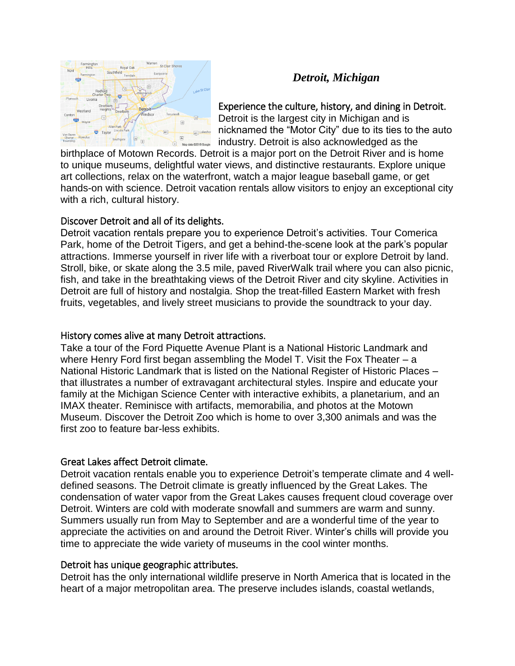

# *Detroit, Michigan*

Experience the culture, history, and dining in Detroit.

Detroit is the largest city in Michigan and is nicknamed the "Motor City" due to its ties to the auto industry. Detroit is also acknowledged as the

birthplace of Motown Records. Detroit is a major port on the Detroit River and is home to unique museums, delightful water views, and distinctive restaurants. Explore unique art collections, relax on the waterfront, watch a major league baseball game, or get hands-on with science. Detroit vacation rentals allow visitors to enjoy an exceptional city with a rich, cultural history.

#### Discover Detroit and all of its delights.

Detroit vacation rentals prepare you to experience Detroit's activities. Tour Comerica Park, home of the Detroit Tigers, and get a behind-the-scene look at the park's popular attractions. Immerse yourself in river life with a riverboat tour or explore Detroit by land. Stroll, bike, or skate along the 3.5 mile, paved RiverWalk trail where you can also picnic, fish, and take in the breathtaking views of the Detroit River and city skyline. Activities in Detroit are full of history and nostalgia. Shop the treat-filled Eastern Market with fresh fruits, vegetables, and lively street musicians to provide the soundtrack to your day.

### History comes alive at many Detroit attractions.

Take a tour of the Ford Piquette Avenue Plant is a National Historic Landmark and where Henry Ford first began assembling the Model T. Visit the Fox Theater – a National Historic Landmark that is listed on the National Register of Historic Places – that illustrates a number of extravagant architectural styles. Inspire and educate your family at the Michigan Science Center with interactive exhibits, a planetarium, and an IMAX theater. Reminisce with artifacts, memorabilia, and photos at the Motown Museum. Discover the Detroit Zoo which is home to over 3,300 animals and was the first zoo to feature bar-less exhibits.

## Great Lakes affect Detroit climate.

Detroit vacation rentals enable you to experience Detroit's temperate climate and 4 welldefined seasons. The Detroit climate is greatly influenced by the Great Lakes. The condensation of water vapor from the Great Lakes causes frequent cloud coverage over Detroit. Winters are cold with moderate snowfall and summers are warm and sunny. Summers usually run from May to September and are a wonderful time of the year to appreciate the activities on and around the Detroit River. Winter's chills will provide you time to appreciate the wide variety of museums in the cool winter months.

## Detroit has unique geographic attributes.

Detroit has the only international wildlife preserve in North America that is located in the heart of a major metropolitan area. The preserve includes islands, coastal wetlands,